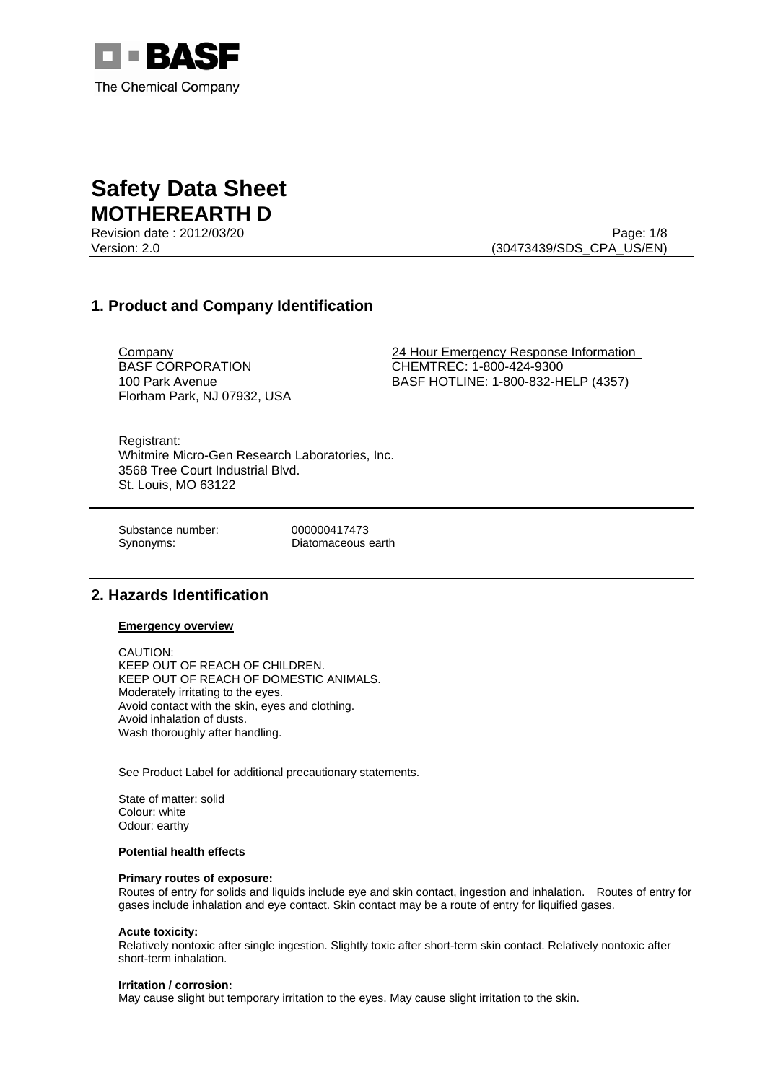

Revision date : 2012/03/20 Page: 1/8

Version: 2.0 (30473439/SDS\_CPA\_US/EN)

# **1. Product and Company Identification**

BASF CORPORATION 100 Park Avenue Florham Park, NJ 07932, USA

Company 24 Hour Emergency Response Information CHEMTREC: 1-800-424-9300 BASF HOTLINE: 1-800-832-HELP (4357)

Registrant: Whitmire Micro-Gen Research Laboratories, Inc. 3568 Tree Court Industrial Blvd. St. Louis, MO 63122

Substance number: 000000417473

Synonyms: Diatomaceous earth

## **2. Hazards Identification**

**Emergency overview**

CAUTION: KEEP OUT OF REACH OF CHILDREN. KEEP OUT OF REACH OF DOMESTIC ANIMALS. Moderately irritating to the eyes. Avoid contact with the skin, eyes and clothing. Avoid inhalation of dusts. Wash thoroughly after handling.

See Product Label for additional precautionary statements.

State of matter: solid Colour: white Odour: earthy

### **Potential health effects**

#### **Primary routes of exposure:**

Routes of entry for solids and liquids include eye and skin contact, ingestion and inhalation. Routes of entry for gases include inhalation and eye contact. Skin contact may be a route of entry for liquified gases.

#### **Acute toxicity:**

Relatively nontoxic after single ingestion. Slightly toxic after short-term skin contact. Relatively nontoxic after short-term inhalation.

#### **Irritation / corrosion:**

May cause slight but temporary irritation to the eyes. May cause slight irritation to the skin.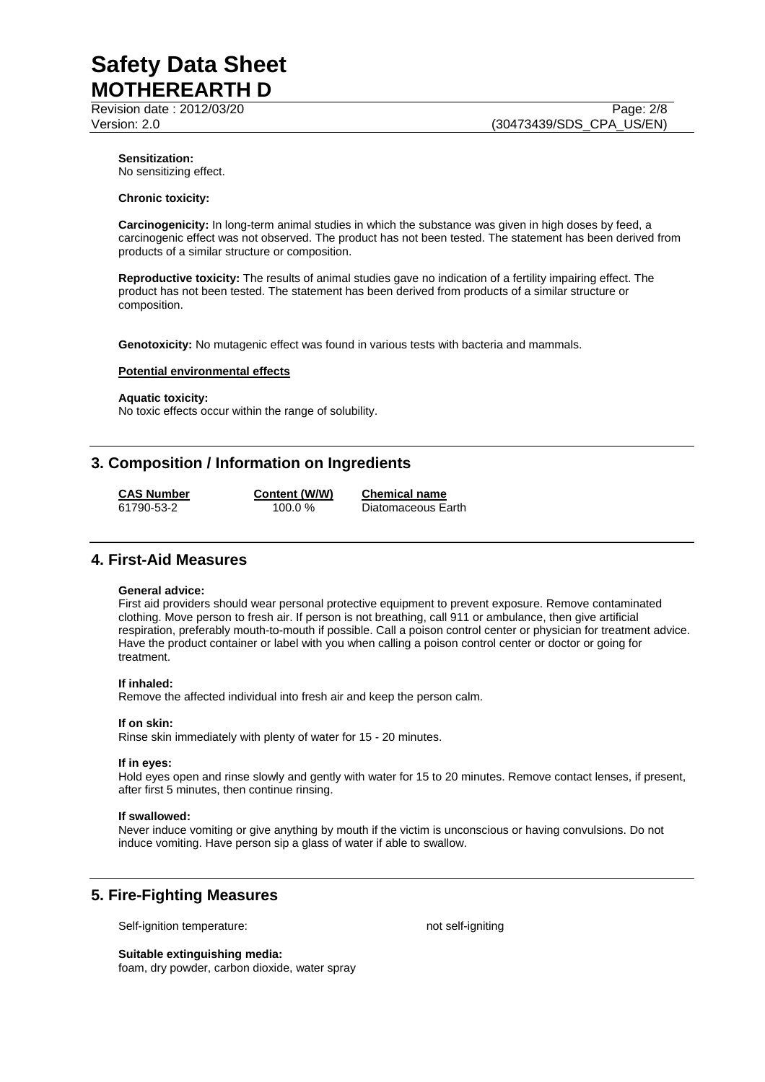Revision date : 2012/03/20 Page: 2/8

Version: 2.0 (30473439/SDS\_CPA\_US/EN)

## **Sensitization:**

No sensitizing effect.

#### **Chronic toxicity:**

**Carcinogenicity:** In long-term animal studies in which the substance was given in high doses by feed, a carcinogenic effect was not observed. The product has not been tested. The statement has been derived from products of a similar structure or composition.

**Reproductive toxicity:** The results of animal studies gave no indication of a fertility impairing effect. The product has not been tested. The statement has been derived from products of a similar structure or composition.

**Genotoxicity:** No mutagenic effect was found in various tests with bacteria and mammals.

#### **Potential environmental effects**

#### **Aquatic toxicity:**

No toxic effects occur within the range of solubility.

## **3. Composition / Information on Ingredients**

**CAS Number Content (W/W) Chemical name** 61790-53-2 100.0 % Diatomaceous Earth

## **4. First-Aid Measures**

#### **General advice:**

First aid providers should wear personal protective equipment to prevent exposure. Remove contaminated clothing. Move person to fresh air. If person is not breathing, call 911 or ambulance, then give artificial respiration, preferably mouth-to-mouth if possible. Call a poison control center or physician for treatment advice. Have the product container or label with you when calling a poison control center or doctor or going for treatment.

#### **If inhaled:**

Remove the affected individual into fresh air and keep the person calm.

#### **If on skin:**

Rinse skin immediately with plenty of water for 15 - 20 minutes.

#### **If in eyes:**

Hold eyes open and rinse slowly and gently with water for 15 to 20 minutes. Remove contact lenses, if present, after first 5 minutes, then continue rinsing.

#### **If swallowed:**

Never induce vomiting or give anything by mouth if the victim is unconscious or having convulsions. Do not induce vomiting. Have person sip a glass of water if able to swallow.

# **5. Fire-Fighting Measures**

Self-ignition temperature: not self-igniting

**Suitable extinguishing media:**  foam, dry powder, carbon dioxide, water spray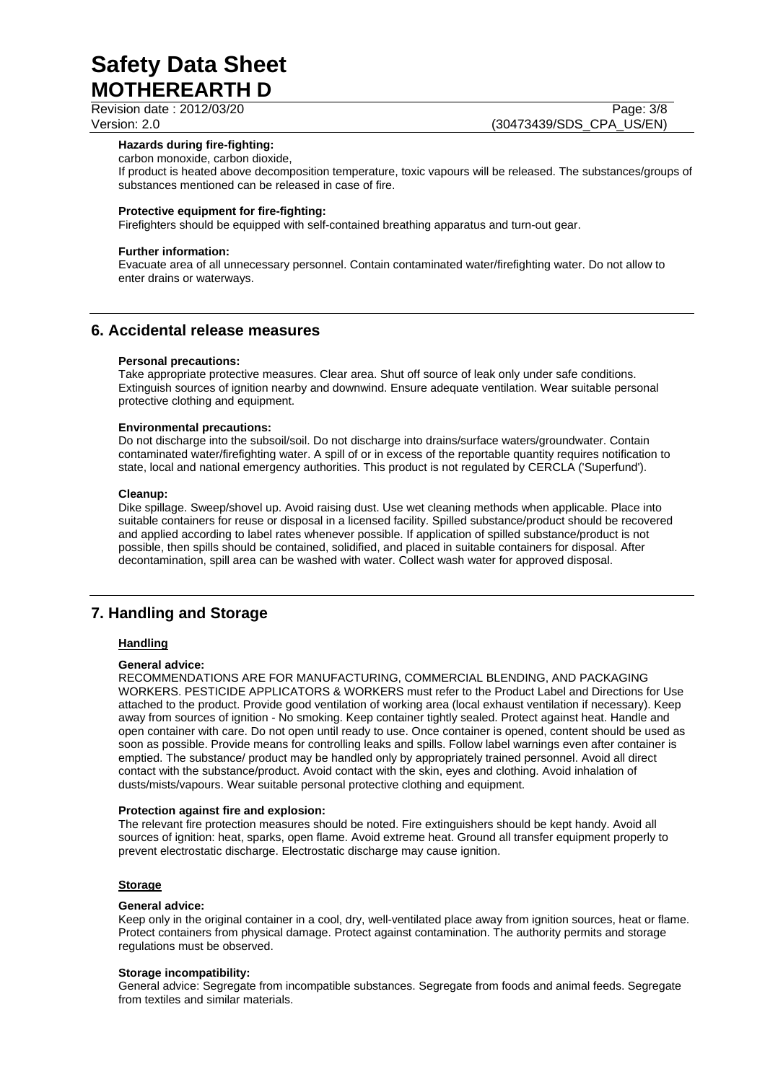Revision date : 2012/03/20 Page: 3/8

Version: 2.0 (30473439/SDS\_CPA\_US/EN)

#### **Hazards during fire-fighting:**

carbon monoxide, carbon dioxide,

If product is heated above decomposition temperature, toxic vapours will be released. The substances/groups of substances mentioned can be released in case of fire.

#### **Protective equipment for fire-fighting:**

Firefighters should be equipped with self-contained breathing apparatus and turn-out gear.

#### **Further information:**

Evacuate area of all unnecessary personnel. Contain contaminated water/firefighting water. Do not allow to enter drains or waterways.

## **6. Accidental release measures**

#### **Personal precautions:**

Take appropriate protective measures. Clear area. Shut off source of leak only under safe conditions. Extinguish sources of ignition nearby and downwind. Ensure adequate ventilation. Wear suitable personal protective clothing and equipment.

#### **Environmental precautions:**

Do not discharge into the subsoil/soil. Do not discharge into drains/surface waters/groundwater. Contain contaminated water/firefighting water. A spill of or in excess of the reportable quantity requires notification to state, local and national emergency authorities. This product is not regulated by CERCLA ('Superfund').

#### **Cleanup:**

Dike spillage. Sweep/shovel up. Avoid raising dust. Use wet cleaning methods when applicable. Place into suitable containers for reuse or disposal in a licensed facility. Spilled substance/product should be recovered and applied according to label rates whenever possible. If application of spilled substance/product is not possible, then spills should be contained, solidified, and placed in suitable containers for disposal. After decontamination, spill area can be washed with water. Collect wash water for approved disposal.

# **7. Handling and Storage**

### **Handling**

#### **General advice:**

RECOMMENDATIONS ARE FOR MANUFACTURING, COMMERCIAL BLENDING, AND PACKAGING WORKERS. PESTICIDE APPLICATORS & WORKERS must refer to the Product Label and Directions for Use attached to the product. Provide good ventilation of working area (local exhaust ventilation if necessary). Keep away from sources of ignition - No smoking. Keep container tightly sealed. Protect against heat. Handle and open container with care. Do not open until ready to use. Once container is opened, content should be used as soon as possible. Provide means for controlling leaks and spills. Follow label warnings even after container is emptied. The substance/ product may be handled only by appropriately trained personnel. Avoid all direct contact with the substance/product. Avoid contact with the skin, eyes and clothing. Avoid inhalation of dusts/mists/vapours. Wear suitable personal protective clothing and equipment.

#### **Protection against fire and explosion:**

The relevant fire protection measures should be noted. Fire extinguishers should be kept handy. Avoid all sources of ignition: heat, sparks, open flame. Avoid extreme heat. Ground all transfer equipment properly to prevent electrostatic discharge. Electrostatic discharge may cause ignition.

#### **Storage**

#### **General advice:**

Keep only in the original container in a cool, dry, well-ventilated place away from ignition sources, heat or flame. Protect containers from physical damage. Protect against contamination. The authority permits and storage regulations must be observed.

#### **Storage incompatibility:**

General advice: Segregate from incompatible substances. Segregate from foods and animal feeds. Segregate from textiles and similar materials.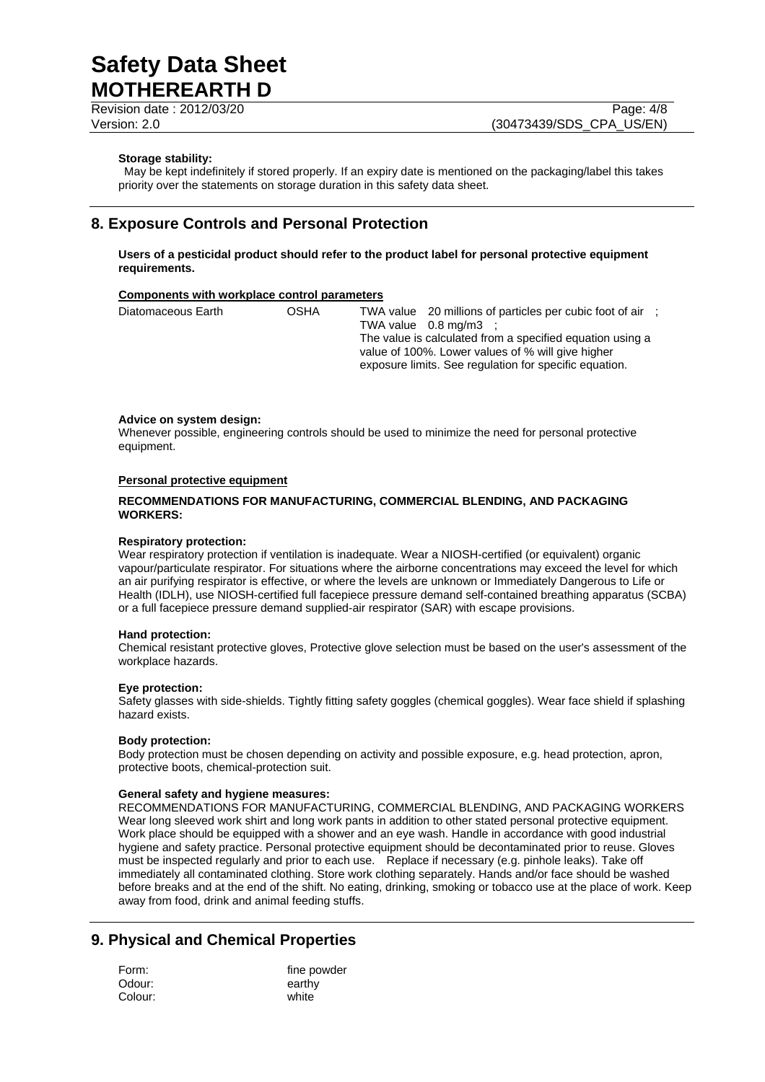Revision date : 2012/03/20 Page: 4/8

Version: 2.0 (30473439/SDS\_CPA\_US/EN)

#### **Storage stability:**

 May be kept indefinitely if stored properly. If an expiry date is mentioned on the packaging/label this takes priority over the statements on storage duration in this safety data sheet.

## **8. Exposure Controls and Personal Protection**

**Users of a pesticidal product should refer to the product label for personal protective equipment requirements.** 

#### **Components with workplace control parameters**

| Diatomaceous Earth | OSHA | TWA value 20 millions of particles per cubic foot of air :<br>TWA value $0.8 \text{ mg/m}3$ :<br>The value is calculated from a specified equation using a<br>value of 100%. Lower values of % will give higher |
|--------------------|------|-----------------------------------------------------------------------------------------------------------------------------------------------------------------------------------------------------------------|
|                    |      | exposure limits. See regulation for specific equation.                                                                                                                                                          |

#### **Advice on system design:**

Whenever possible, engineering controls should be used to minimize the need for personal protective equipment.

#### **Personal protective equipment**

#### **RECOMMENDATIONS FOR MANUFACTURING, COMMERCIAL BLENDING, AND PACKAGING WORKERS:**

#### **Respiratory protection:**

Wear respiratory protection if ventilation is inadequate. Wear a NIOSH-certified (or equivalent) organic vapour/particulate respirator. For situations where the airborne concentrations may exceed the level for which an air purifying respirator is effective, or where the levels are unknown or Immediately Dangerous to Life or Health (IDLH), use NIOSH-certified full facepiece pressure demand self-contained breathing apparatus (SCBA) or a full facepiece pressure demand supplied-air respirator (SAR) with escape provisions.

#### **Hand protection:**

Chemical resistant protective gloves, Protective glove selection must be based on the user's assessment of the workplace hazards.

#### **Eye protection:**

Safety glasses with side-shields. Tightly fitting safety goggles (chemical goggles). Wear face shield if splashing hazard exists.

### **Body protection:**

Body protection must be chosen depending on activity and possible exposure, e.g. head protection, apron, protective boots, chemical-protection suit.

#### **General safety and hygiene measures:**

RECOMMENDATIONS FOR MANUFACTURING, COMMERCIAL BLENDING, AND PACKAGING WORKERS Wear long sleeved work shirt and long work pants in addition to other stated personal protective equipment. Work place should be equipped with a shower and an eye wash. Handle in accordance with good industrial hygiene and safety practice. Personal protective equipment should be decontaminated prior to reuse. Gloves must be inspected regularly and prior to each use. Replace if necessary (e.g. pinhole leaks). Take off immediately all contaminated clothing. Store work clothing separately. Hands and/or face should be washed before breaks and at the end of the shift. No eating, drinking, smoking or tobacco use at the place of work. Keep away from food, drink and animal feeding stuffs.

# **9. Physical and Chemical Properties**

| Form:   | fine powder |
|---------|-------------|
| Odour:  | earthy      |
| Colour: | white       |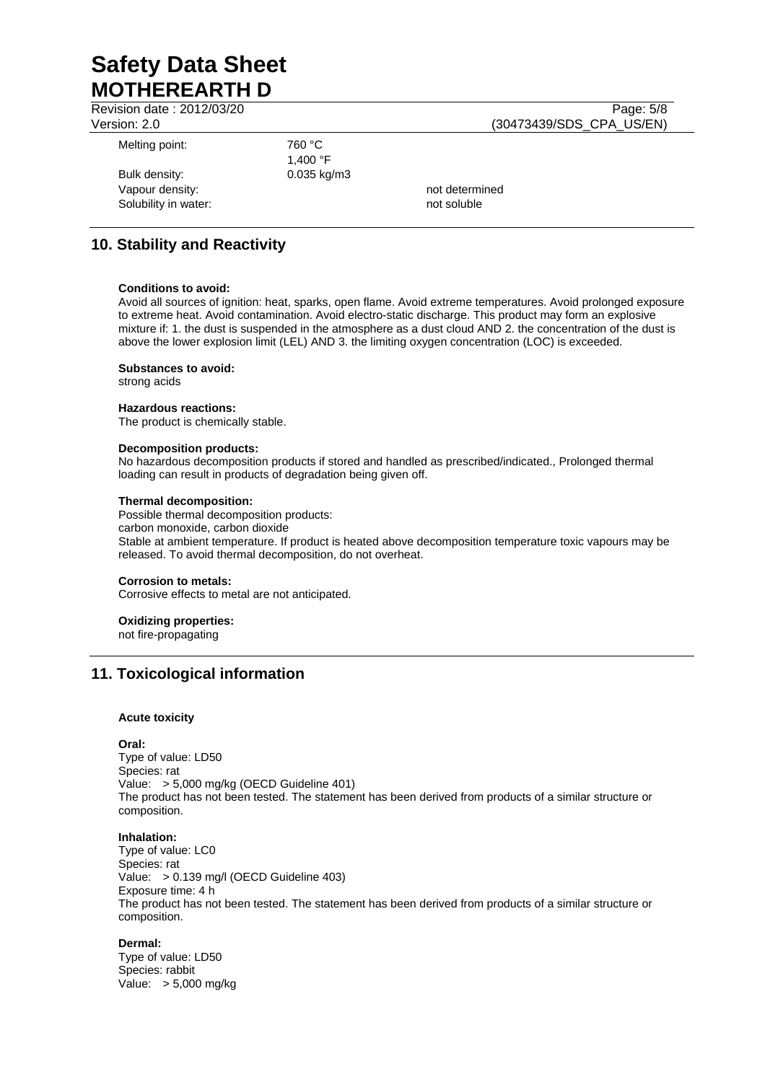Revision date : 2012/03/20 Page: 5/8

Version: 2.0 (30473439/SDS\_CPA\_US/EN) Melting point: 760 °C 1,400 °F Bulk density: 0.035 kg/m3 Vapour density:  $\blacksquare$ 

Solubility in water: not soluble and soluble

# **10. Stability and Reactivity**

#### **Conditions to avoid:**

Avoid all sources of ignition: heat, sparks, open flame. Avoid extreme temperatures. Avoid prolonged exposure to extreme heat. Avoid contamination. Avoid electro-static discharge. This product may form an explosive mixture if: 1. the dust is suspended in the atmosphere as a dust cloud AND 2. the concentration of the dust is above the lower explosion limit (LEL) AND 3. the limiting oxygen concentration (LOC) is exceeded.

#### **Substances to avoid:**

strong acids

#### **Hazardous reactions:**

The product is chemically stable.

#### **Decomposition products:**

No hazardous decomposition products if stored and handled as prescribed/indicated., Prolonged thermal loading can result in products of degradation being given off.

#### **Thermal decomposition:**

Possible thermal decomposition products: carbon monoxide, carbon dioxide Stable at ambient temperature. If product is heated above decomposition temperature toxic vapours may be released. To avoid thermal decomposition, do not overheat.

#### **Corrosion to metals:**

Corrosive effects to metal are not anticipated.

### **Oxidizing properties:**

not fire-propagating

## **11. Toxicological information**

#### **Acute toxicity**

**Oral:**

Type of value: LD50 Species: rat Value: > 5,000 mg/kg (OECD Guideline 401) The product has not been tested. The statement has been derived from products of a similar structure or composition.

#### **Inhalation:**

Type of value: LC0 Species: rat Value: > 0.139 mg/l (OECD Guideline 403) Exposure time: 4 h The product has not been tested. The statement has been derived from products of a similar structure or composition.

#### **Dermal:**

Type of value: LD50 Species: rabbit Value: > 5,000 mg/kg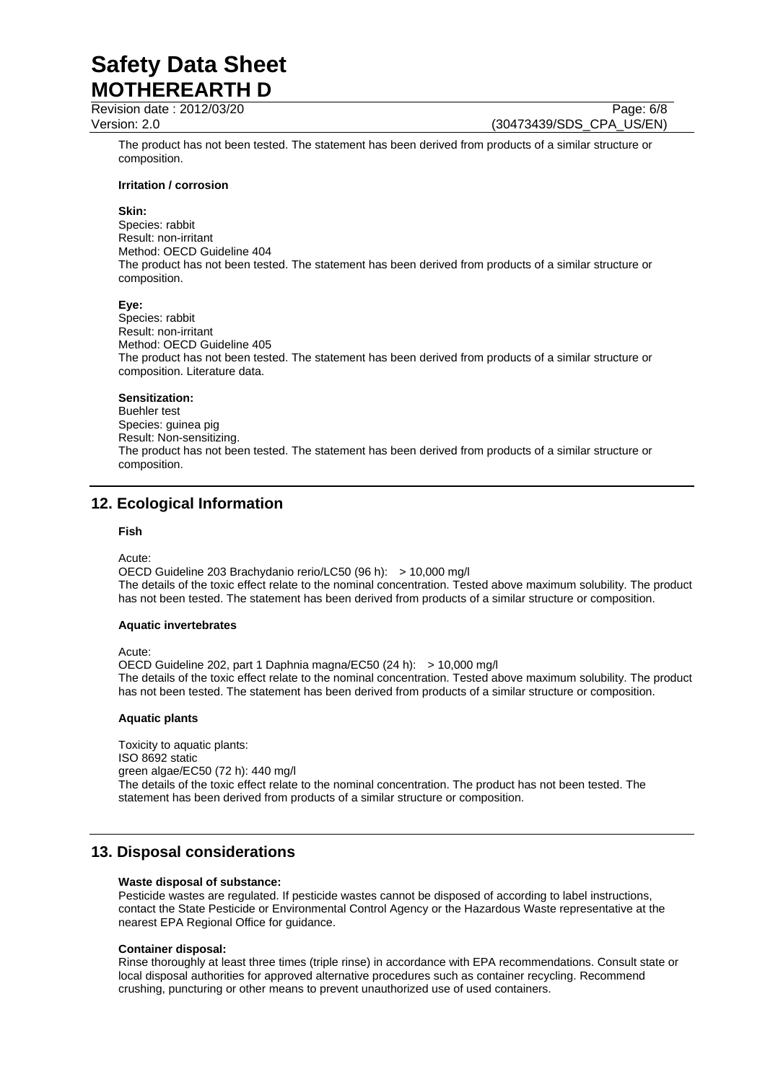Revision date : 2012/03/20 Page: 6/8

Version: 2.0 (30473439/SDS\_CPA\_US/EN)

The product has not been tested. The statement has been derived from products of a similar structure or composition.

#### **Irritation / corrosion**

#### **Skin:**

Species: rabbit Result: non-irritant Method: OECD Guideline 404 The product has not been tested. The statement has been derived from products of a similar structure or composition.

#### **Eye:**

Species: rabbit Result: non-irritant Method: OECD Guideline 405 The product has not been tested. The statement has been derived from products of a similar structure or composition. Literature data.

#### **Sensitization:**

Buehler test Species: guinea pig Result: Non-sensitizing. The product has not been tested. The statement has been derived from products of a similar structure or composition.

# **12. Ecological Information**

#### **Fish**

Acute:

OECD Guideline 203 Brachydanio rerio/LC50 (96 h): > 10,000 mg/l The details of the toxic effect relate to the nominal concentration. Tested above maximum solubility. The product has not been tested. The statement has been derived from products of a similar structure or composition.

#### **Aquatic invertebrates**

Acute:

OECD Guideline 202, part 1 Daphnia magna/EC50 (24 h): > 10,000 mg/l The details of the toxic effect relate to the nominal concentration. Tested above maximum solubility. The product has not been tested. The statement has been derived from products of a similar structure or composition.

#### **Aquatic plants**

Toxicity to aquatic plants: ISO 8692 static green algae/EC50 (72 h): 440 mg/l The details of the toxic effect relate to the nominal concentration. The product has not been tested. The statement has been derived from products of a similar structure or composition.

## **13. Disposal considerations**

#### **Waste disposal of substance:**

Pesticide wastes are regulated. If pesticide wastes cannot be disposed of according to label instructions, contact the State Pesticide or Environmental Control Agency or the Hazardous Waste representative at the nearest EPA Regional Office for guidance.

#### **Container disposal:**

Rinse thoroughly at least three times (triple rinse) in accordance with EPA recommendations. Consult state or local disposal authorities for approved alternative procedures such as container recycling. Recommend crushing, puncturing or other means to prevent unauthorized use of used containers.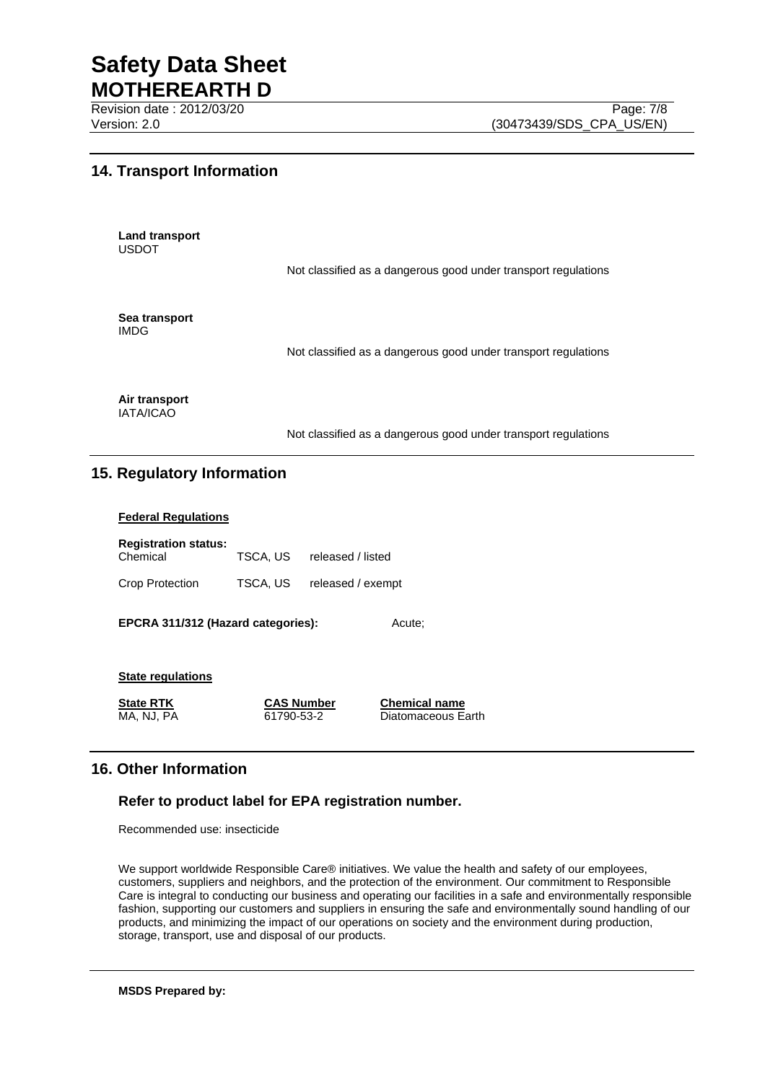Revision date : 2012/03/20 Page: 7/8

# **14. Transport Information**

**Land transport**  USDOT

Not classified as a dangerous good under transport regulations

**Sea transport**  IMDG

Not classified as a dangerous good under transport regulations

**Air transport**  IATA/ICAO

Not classified as a dangerous good under transport regulations

# **15. Regulatory Information**

### **Federal Regulations**

| <b>Registration status:</b> |          |                   |
|-----------------------------|----------|-------------------|
| Chemical                    | TSCA, US | released / listed |
| Crop Protection             | TSCA, US | released / exempt |

**EPCRA 311/312 (Hazard categories):** Acute;

# **State regulations**

**State RTK CAS Number Chemical name**

MA, NJ, PA 61790-53-2 Diatomaceous Earth

# **16. Other Information**

## **Refer to product label for EPA registration number.**

Recommended use: insecticide

We support worldwide Responsible Care® initiatives. We value the health and safety of our employees, customers, suppliers and neighbors, and the protection of the environment. Our commitment to Responsible Care is integral to conducting our business and operating our facilities in a safe and environmentally responsible fashion, supporting our customers and suppliers in ensuring the safe and environmentally sound handling of our products, and minimizing the impact of our operations on society and the environment during production, storage, transport, use and disposal of our products.